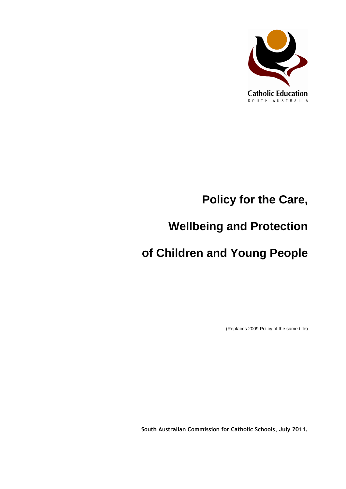

# **Policy for the Care,**

# **Wellbeing and Protection**

# **of Children and Young People**

(Replaces 2009 Policy of the same title)

**South Australian Commission for Catholic Schools, July 2011.**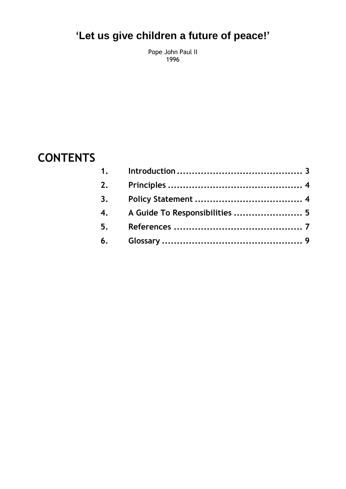## **'Let us give children a future of peace!'**

Pope John Paul II 1996

### **CONTENTS**

| 2. |                                |  |
|----|--------------------------------|--|
| 3. |                                |  |
| 4. | A Guide To Responsibilities  5 |  |
| 5. |                                |  |
|    |                                |  |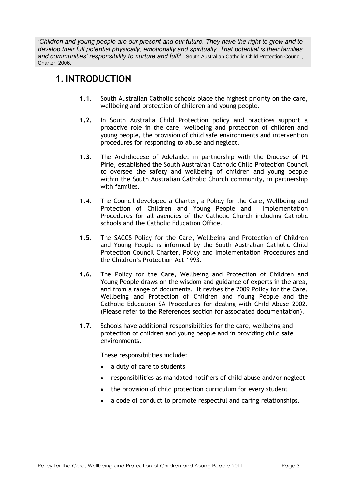*'Children and young people are our present and our future. They have the right to grow and to develop their full potential physically, emotionally and spiritually. That potential is their families'*  and communities' responsibility to nurture and fulfil'. South Australian Catholic Child Protection Council, Charter, 2006.

#### <span id="page-2-0"></span>**1.INTRODUCTION**

- **1.1.** South Australian Catholic schools place the highest priority on the care, wellbeing and protection of children and young people.
- **1.2.** In South Australia Child Protection policy and practices support a proactive role in the care, wellbeing and protection of children and young people, the provision of child safe environments and intervention procedures for responding to abuse and neglect.
- **1.3.** The Archdiocese of Adelaide, in partnership with the Diocese of Pt Pirie, established the South Australian Catholic Child Protection Council to oversee the safety and wellbeing of children and young people within the South Australian Catholic Church community, in partnership with families.
- **1.4.** The Council developed a Charter, a Policy for the Care, Wellbeing and Protection of Children and Young People and Implementation Procedures for all agencies of the Catholic Church including Catholic schools and the Catholic Education Office.
- **1.5.** The SACCS Policy for the Care, Wellbeing and Protection of Children and Young People is informed by the South Australian Catholic Child Protection Council Charter, Policy and Implementation Procedures and the Children's Protection Act 1993.
- **1.6.** The Policy for the Care, Wellbeing and Protection of Children and Young People draws on the wisdom and guidance of experts in the area, and from a range of documents. It revises the 2009 Policy for the Care, Wellbeing and Protection of Children and Young People and the Catholic Education SA Procedures for dealing with Child Abuse 2002. (Please refer to the References section for associated documentation).
- **1.7.** Schools have additional responsibilities for the care, wellbeing and protection of children and young people and in providing child safe environments.

These responsibilities include:

- a duty of care to students
- responsibilities as mandated notifiers of child abuse and/or neglect
- the provision of child protection curriculum for every student
- a code of conduct to promote respectful and caring relationships.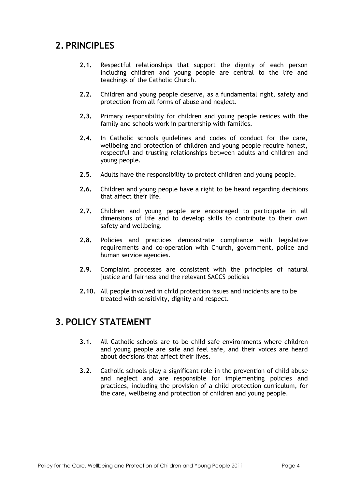#### <span id="page-3-0"></span>**2. PRINCIPLES**

- **2.1.** Respectful relationships that support the dignity of each person including children and young people are central to the life and teachings of the Catholic Church.
- **2.2.** Children and young people deserve, as a fundamental right, safety and protection from all forms of abuse and neglect.
- **2.3.** Primary responsibility for children and young people resides with the family and schools work in partnership with families.
- **2.4.** In Catholic schools guidelines and codes of conduct for the care, wellbeing and protection of children and young people require honest, respectful and trusting relationships between adults and children and young people.
- **2.5.** Adults have the responsibility to protect children and young people.
- **2.6.** Children and young people have a right to be heard regarding decisions that affect their life.
- **2.7.** Children and young people are encouraged to participate in all dimensions of life and to develop skills to contribute to their own safety and wellbeing.
- **2.8.** Policies and practices demonstrate compliance with legislative requirements and co-operation with Church, government, police and human service agencies.
- **2.9.** Complaint processes are consistent with the principles of natural justice and fairness and the relevant SACCS policies
- **2.10.** All people involved in child protection issues and incidents are to be treated with sensitivity, dignity and respect.

#### <span id="page-3-1"></span>**3. POLICY STATEMENT**

- **3.1.** All Catholic schools are to be child safe environments where children and young people are safe and feel safe, and their voices are heard about decisions that affect their lives.
- **3.2.** Catholic schools play a significant role in the prevention of child abuse and neglect and are responsible for implementing policies and practices, including the provision of a child protection curriculum, for the care, wellbeing and protection of children and young people.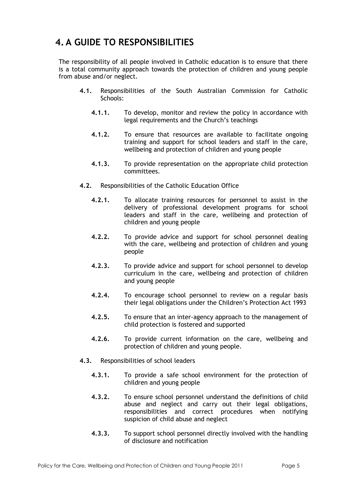#### <span id="page-4-0"></span>**4. A GUIDE TO RESPONSIBILITIES**

The responsibility of all people involved in Catholic education is to ensure that there is a total community approach towards the protection of children and young people from abuse and/or neglect.

- **4.1.** Responsibilities of the South Australian Commission for Catholic Schools:
	- **4.1.1.** To develop, monitor and review the policy in accordance with legal requirements and the Church's teachings
	- **4.1.2.** To ensure that resources are available to facilitate ongoing training and support for school leaders and staff in the care, wellbeing and protection of children and young people
	- **4.1.3.** To provide representation on the appropriate child protection committees.
- **4.2.** Responsibilities of the Catholic Education Office
	- **4.2.1.** To allocate training resources for personnel to assist in the delivery of professional development programs for school leaders and staff in the care, wellbeing and protection of children and young people
	- **4.2.2.** To provide advice and support for school personnel dealing with the care, wellbeing and protection of children and young people
	- **4.2.3.** To provide advice and support for school personnel to develop curriculum in the care, wellbeing and protection of children and young people
	- **4.2.4.** To encourage school personnel to review on a regular basis their legal obligations under the Children's Protection Act 1993
	- **4.2.5.** To ensure that an inter-agency approach to the management of child protection is fostered and supported
	- **4.2.6.** To provide current information on the care, wellbeing and protection of children and young people.
- **4.3.** Responsibilities of school leaders
	- **4.3.1.** To provide a safe school environment for the protection of children and young people
	- **4.3.2.** To ensure school personnel understand the definitions of child abuse and neglect and carry out their legal obligations, responsibilities and correct procedures when notifying suspicion of child abuse and neglect
	- **4.3.3.** To support school personnel directly involved with the handling of disclosure and notification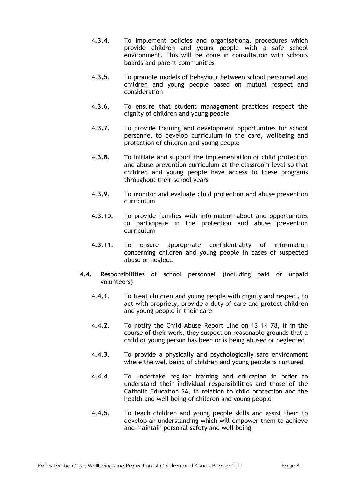- **4.3.4.** To implement policies and organisational procedures which provide children and young people with a safe school environment. This will be done in consultation with schools boards and parent communities
- **4.3.5.** To promote models of behaviour between school personnel and children and young people based on mutual respect and consideration
- **4.3.6.** To ensure that student management practices respect the dignity of children and young people
- **4.3.7.** To provide training and development opportunities for school personnel to develop curriculum in the care, wellbeing and protection of children and young people
- **4.3.8.** To initiate and support the implementation of child protection and abuse prevention curriculum at the classroom level so that children and young people have access to these programs throughout their school years
- **4.3.9.** To monitor and evaluate child protection and abuse prevention curriculum
- **4.3.10.** To provide families with information about and opportunities to participate in the protection and abuse prevention curriculum
- **4.3.11.** To ensure appropriate confidentiality of information concerning children and young people in cases of suspected abuse or neglect.
- **4.4.** Responsibilities of school personnel (including paid or unpaid volunteers)
	- **4.4.1.** To treat children and young people with dignity and respect, to act with propriety, provide a duty of care and protect children and young people in their care
	- **4.4.2.** To notify the Child Abuse Report Line on 13 14 78, if in the course of their work, they suspect on reasonable grounds that a child or young person has been or is being abused or neglected
	- **4.4.3.** To provide a physically and psychologically safe environment where the well being of children and young people is nurtured
	- **4.4.4.** To undertake regular training and education in order to understand their individual responsibilities and those of the Catholic Education SA, in relation to child protection and the health and well being of children and young people
	- **4.4.5.** To teach children and young people skills and assist them to develop an understanding which will empower them to achieve and maintain personal safety and well being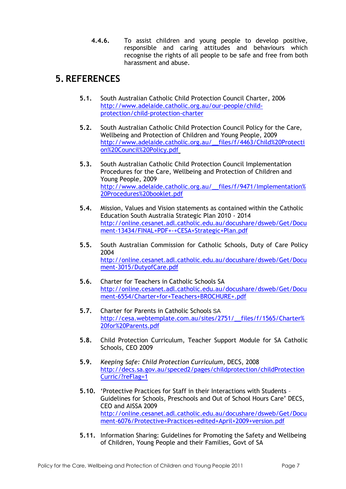**4.4.6.** To assist children and young people to develop positive, responsible and caring attitudes and behaviours which recognise the rights of all people to be safe and free from both harassment and abuse.

#### <span id="page-6-0"></span>**5. REFERENCES**

- **5.1.** South Australian Catholic Child Protection Council Charter, 2006 [http://www.adelaide.catholic.org.au/our-people/child](http://www.adelaide.catholic.org.au/our-people/child-protection/child-protection-charter)[protection/child-protection-charter](http://www.adelaide.catholic.org.au/our-people/child-protection/child-protection-charter)
- **5.2.** South Australian Catholic Child Protection Council Policy for the Care, Wellbeing and Protection of Children and Young People, 2009 [http://www.adelaide.catholic.org.au/\\_\\_files/f/4463/Child%20Protecti](http://www.adelaide.catholic.org.au/__files/f/4463/Child%20Protection%20Council%20Policy.pdf) [on%20Council%20Policy.pdf](http://www.adelaide.catholic.org.au/__files/f/4463/Child%20Protection%20Council%20Policy.pdf)
- **5.3.** South Australian Catholic Child Protection Council Implementation Procedures for the Care, Wellbeing and Protection of Children and Young People, 2009 [http://www.adelaide.catholic.org.au/\\_\\_files/f/9471/Implementation%](http://www.adelaide.catholic.org.au/__files/f/9471/Implementation%20Procedures%20booklet.pdf) [20Procedures%20booklet.pdf](http://www.adelaide.catholic.org.au/__files/f/9471/Implementation%20Procedures%20booklet.pdf)
- **5.4.** Mission, Values and Vision statements as contained within the Catholic Education South Australia Strategic Plan 2010 - 2014 [http://online.cesanet.adl.catholic.edu.au/docushare/dsweb/Get/Docu](http://online.cesanet.adl.catholic.edu.au/docushare/dsweb/Get/Document-13434/FINAL+PDF+-+CESA+Strategic+Plan.pdf) [ment-13434/FINAL+PDF+-+CESA+Strategic+Plan.pdf](http://online.cesanet.adl.catholic.edu.au/docushare/dsweb/Get/Document-13434/FINAL+PDF+-+CESA+Strategic+Plan.pdf)
- **5.5.** South Australian Commission for Catholic Schools, Duty of Care Policy 2004 [http://online.cesanet.adl.catholic.edu.au/docushare/dsweb/Get/Docu](http://online.cesanet.adl.catholic.edu.au/docushare/dsweb/Get/Document-3015/DutyofCare.pdf) [ment-3015/DutyofCare.pdf](http://online.cesanet.adl.catholic.edu.au/docushare/dsweb/Get/Document-3015/DutyofCare.pdf)
- **5.6.** Charter for Teachers in Catholic Schools SA [http://online.cesanet.adl.catholic.edu.au/docushare/dsweb/Get/Docu](http://online.cesanet.adl.catholic.edu.au/docushare/dsweb/Get/Document-6554/Charter+for+Teachers+BROCHURE+.pdf) [ment-6554/Charter+for+Teachers+BROCHURE+.pdf](http://online.cesanet.adl.catholic.edu.au/docushare/dsweb/Get/Document-6554/Charter+for+Teachers+BROCHURE+.pdf)
- **5.7.** Charter for Parents in Catholic Schools SA [http://cesa.webtemplate.com.au/sites/2751/\\_\\_files/f/1565/Charter%](http://cesa.webtemplate.com.au/sites/2751/__files/f/1565/Charter%20for%20Parents.pdf) [20for%20Parents.pdf](http://cesa.webtemplate.com.au/sites/2751/__files/f/1565/Charter%20for%20Parents.pdf)
- **5.8.** Child Protection Curriculum, Teacher Support Module for SA Catholic Schools, CEO 2009
- **5.9.** *Keeping Safe: Child Protection Curriculum*, DECS, 2008 [http://decs.sa.gov.au/speced2/pages/childprotection/childProtection](http://decs.sa.gov.au/speced2/pages/childprotection/childProtectionCurric/?reFlag=1) [Curric/?reFlag=1](http://decs.sa.gov.au/speced2/pages/childprotection/childProtectionCurric/?reFlag=1)
- **5.10.** 'Protective Practices for Staff in their Interactions with Students Guidelines for Schools, Preschools and Out of School Hours Care' DECS, CEO and AISSA 2009 [http://online.cesanet.adl.catholic.edu.au/docushare/dsweb/Get/Docu](http://online.cesanet.adl.catholic.edu.au/docushare/dsweb/Get/Document-6076/Protective+Practices+edited+April+2009+version.pdf) [ment-6076/Protective+Practices+edited+April+2009+version.pdf](http://online.cesanet.adl.catholic.edu.au/docushare/dsweb/Get/Document-6076/Protective+Practices+edited+April+2009+version.pdf)
- **5.11.** Information Sharing: Guidelines for Promoting the Safety and Wellbeing of Children, Young People and their Families, Govt of SA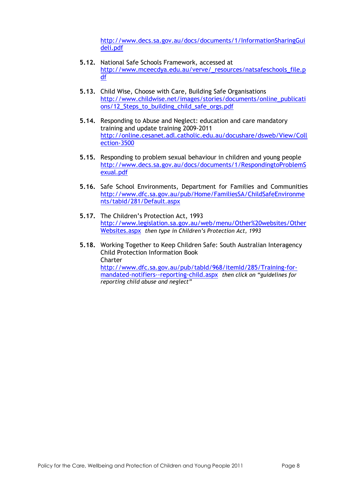[http://www.decs.sa.gov.au/docs/documents/1/InformationSharingGui](http://www.decs.sa.gov.au/docs/documents/1/InformationSharingGuideli.pdf) [deli.pdf](http://www.decs.sa.gov.au/docs/documents/1/InformationSharingGuideli.pdf)

- **5.12.** National Safe Schools Framework, accessed at [http://www.mceecdya.edu.au/verve/\\_resources/natsafeschools\\_file.p](http://www.mceecdya.edu.au/verve/_resources/natsafeschools_file.pdf) [df](http://www.mceecdya.edu.au/verve/_resources/natsafeschools_file.pdf)
- **5.13.** Child Wise, Choose with Care, Building Safe Organisations [http://www.childwise.net/images/stories/documents/online\\_publicati](http://www.childwise.net/images/stories/documents/online_publications/12_Steps_to_building_child_safe_orgs.pdf) [ons/12\\_Steps\\_to\\_building\\_child\\_safe\\_orgs.pdf](http://www.childwise.net/images/stories/documents/online_publications/12_Steps_to_building_child_safe_orgs.pdf)
- **5.14.** Responding to Abuse and Neglect: education and care mandatory training and update training 2009-2011 [http://online.cesanet.adl.catholic.edu.au/docushare/dsweb/View/Coll](http://online.cesanet.adl.catholic.edu.au/docushare/dsweb/View/Collection-3500) [ection-3500](http://online.cesanet.adl.catholic.edu.au/docushare/dsweb/View/Collection-3500)
- **5.15.** Responding to problem sexual behaviour in children and young people [http://www.decs.sa.gov.au/docs/documents/1/RespondingtoProblemS](http://www.decs.sa.gov.au/docs/documents/1/RespondingtoProblemSexual.pdf) [exual.pdf](http://www.decs.sa.gov.au/docs/documents/1/RespondingtoProblemSexual.pdf)
- **5.16.** Safe School Environments, Department for Families and Communities [http://www.dfc.sa.gov.au/pub/Home/FamiliesSA/ChildSafeEnvironme](http://www.dfc.sa.gov.au/pub/Home/FamiliesSA/ChildSafeEnvironments/tabid/281/Default.aspx) [nts/tabid/281/Default.aspx](http://www.dfc.sa.gov.au/pub/Home/FamiliesSA/ChildSafeEnvironments/tabid/281/Default.aspx)
- **5.17.** The Children's Protection Act, 1993 [http://www.legislation.sa.gov.au/web/menu/Other%20websites/Other](http://www.legislation.sa.gov.au/web/menu/Other%20websites/OtherWebsites.aspx) [Websites.aspx](http://www.legislation.sa.gov.au/web/menu/Other%20websites/OtherWebsites.aspx) *then type in Children's Protection Act, 1993*
- **5.18.** Working Together to Keep Children Safe: South Australian Interagency Child Protection Information Book Charter [http://www.dfc.sa.gov.au/pub/tabId/968/itemId/285/Training-for](http://www.dfc.sa.gov.au/pub/tabId/968/itemId/285/Training-for-mandated-notifiers--reporting-child.aspx)[mandated-notifiers--reporting-child.aspx](http://www.dfc.sa.gov.au/pub/tabId/968/itemId/285/Training-for-mandated-notifiers--reporting-child.aspx) *then click on "guidelines for reporting child abuse and neglect"*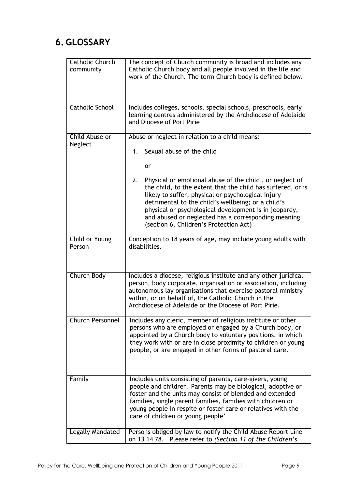### <span id="page-8-0"></span>**6. GLOSSARY**

| Catholic Church<br>community | The concept of Church community is broad and includes any<br>Catholic Church body and all people involved in the life and                                                                                                                                                                                                                                                                          |
|------------------------------|----------------------------------------------------------------------------------------------------------------------------------------------------------------------------------------------------------------------------------------------------------------------------------------------------------------------------------------------------------------------------------------------------|
|                              | work of the Church. The term Church body is defined below.                                                                                                                                                                                                                                                                                                                                         |
| <b>Catholic School</b>       | Includes colleges, schools, special schools, preschools, early<br>learning centres administered by the Archdiocese of Adelaide<br>and Diocese of Port Pirie                                                                                                                                                                                                                                        |
| Child Abuse or               | Abuse or neglect in relation to a child means:                                                                                                                                                                                                                                                                                                                                                     |
| Neglect                      | 1. Sexual abuse of the child                                                                                                                                                                                                                                                                                                                                                                       |
|                              | <b>or</b>                                                                                                                                                                                                                                                                                                                                                                                          |
|                              | Physical or emotional abuse of the child, or neglect of<br>2.<br>the child, to the extent that the child has suffered, or is<br>likely to suffer, physical or psychological injury<br>detrimental to the child's wellbeing; or a child's<br>physical or psychological development is in jeopardy,<br>and abused or neglected has a corresponding meaning<br>(section 6, Children's Protection Act) |
| Child or Young<br>Person     | Conception to 18 years of age, may include young adults with<br>disabilities.                                                                                                                                                                                                                                                                                                                      |
| Church Body                  | Includes a diocese, religious institute and any other juridical<br>person, body corporate, organisation or association, including<br>autonomous lay organisations that exercise pastoral ministry<br>within, or on behalf of, the Catholic Church in the<br>Archdiocese of Adelaide or the Diocese of Port Pirie.                                                                                  |
| <b>Church Personnel</b>      | Includes any cleric, member of religious institute or other<br>persons who are employed or engaged by a Church body, or<br>appointed by a Church body to voluntary positions, in which<br>they work with or are in close proximity to children or young<br>people, or are engaged in other forms of pastoral care.                                                                                 |
| Family                       | Includes units consisting of parents, care-givers, young<br>people and children. Parents may be biological, adoptive or<br>foster and the units may consist of blended and extended<br>families, single parent families, families with children or<br>young people in respite or foster care or relatives with the<br>care of children or young people'                                            |
| Legally Mandated             | Persons obliged by law to notify the Child Abuse Report Line<br>on 13 14 78. Please refer to (Section 11 of the Children's                                                                                                                                                                                                                                                                         |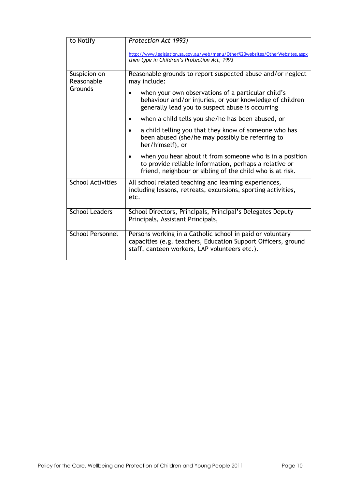| to Notify                  | Protection Act 1993)                                                                                                                                                            |
|----------------------------|---------------------------------------------------------------------------------------------------------------------------------------------------------------------------------|
|                            | http://www.legislation.sa.gov.au/web/menu/Other%20websites/OtherWebsites.aspx<br>then type in Children's Protection Act, 1993                                                   |
| Suspicion on<br>Reasonable | Reasonable grounds to report suspected abuse and/or neglect<br>may include:                                                                                                     |
| Grounds                    | when your own observations of a particular child's<br>behaviour and/or injuries, or your knowledge of children<br>generally lead you to suspect abuse is occurring              |
|                            | when a child tells you she/he has been abused, or                                                                                                                               |
|                            | a child telling you that they know of someone who has<br>been abused (she/he may possibly be referring to<br>her/himself), or                                                   |
|                            | when you hear about it from someone who is in a position<br>to provide reliable information, perhaps a relative or<br>friend, neighbour or sibling of the child who is at risk. |
| <b>School Activities</b>   | All school related teaching and learning experiences,<br>including lessons, retreats, excursions, sporting activities,<br>etc.                                                  |
| <b>School Leaders</b>      | School Directors, Principals, Principal's Delegates Deputy<br>Principals, Assistant Principals,                                                                                 |
| <b>School Personnel</b>    | Persons working in a Catholic school in paid or voluntary<br>capacities (e.g. teachers, Education Support Officers, ground<br>staff, canteen workers, LAP volunteers etc.).     |